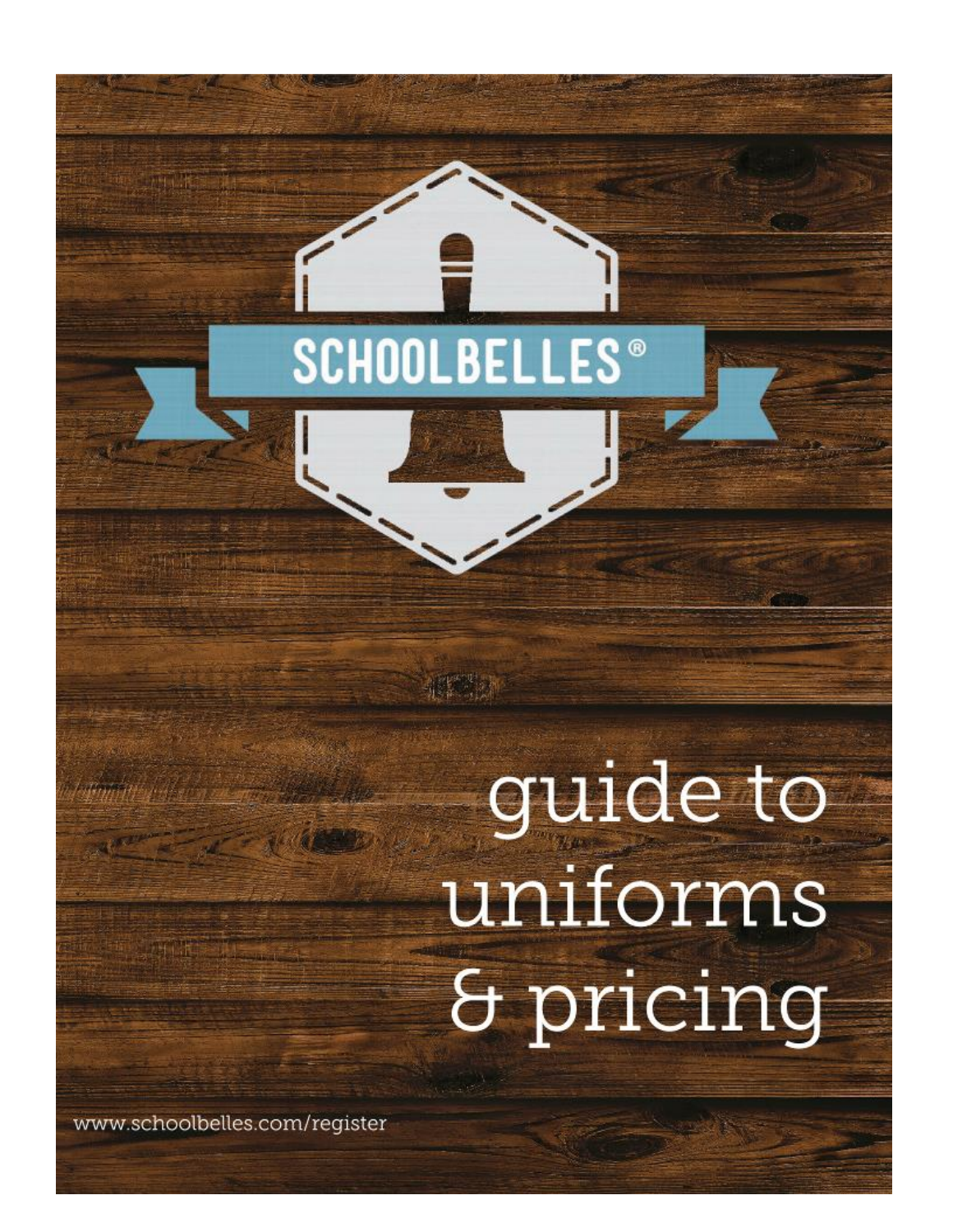## **SCHOOLBELLES<sup>®</sup>**

1. 化气灵

# guide to uniforms & pricing

www.schoolbelles.com/register

**Mary African**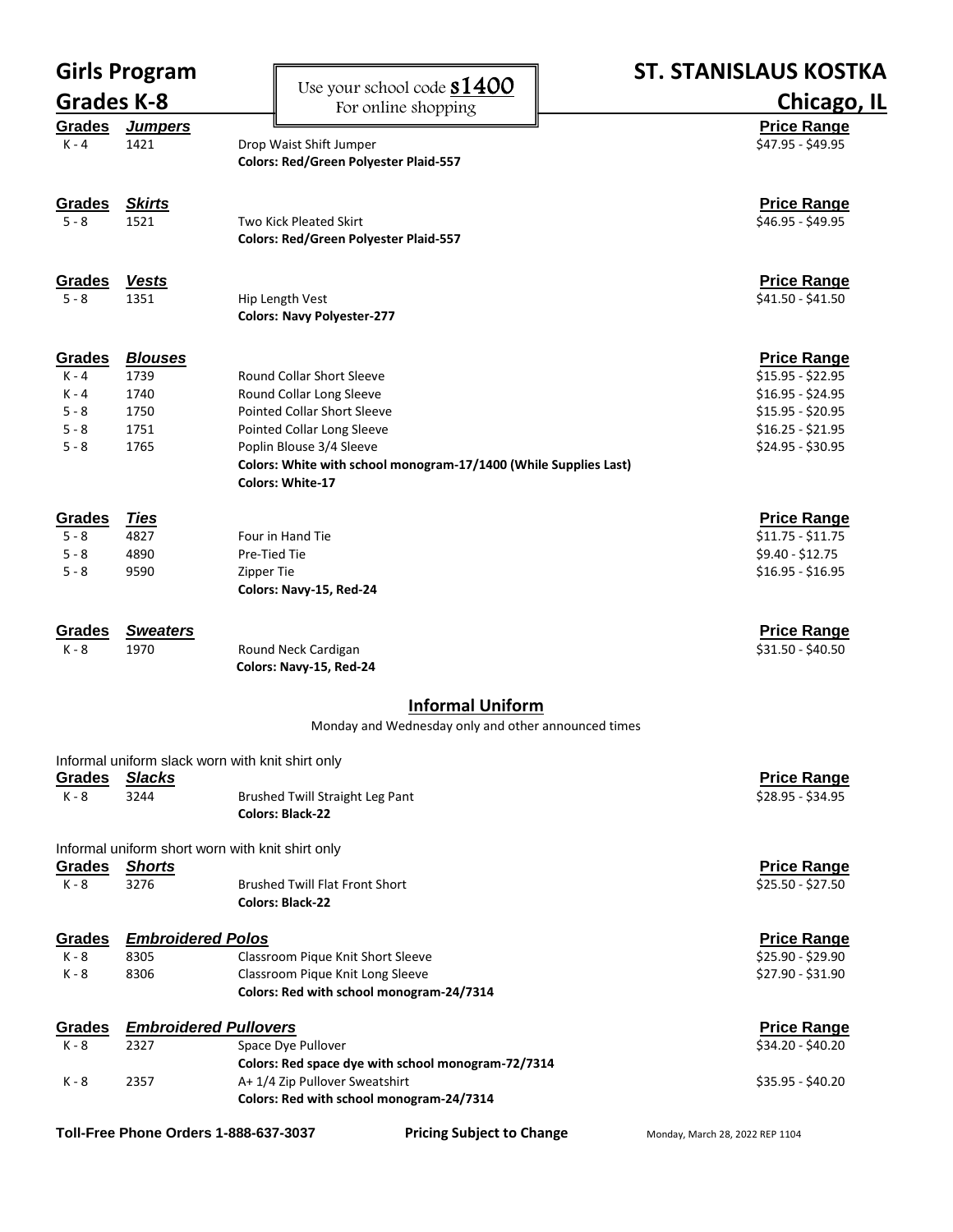| <b>Girls Program</b> |                              |                                                                                      | <b>ST. STANISLAUS KOSTKA</b>           |
|----------------------|------------------------------|--------------------------------------------------------------------------------------|----------------------------------------|
| <b>Grades K-8</b>    |                              | Use your school code <b>S1400</b>                                                    | Chicago, IL                            |
| Grades               | <b>Jumpers</b>               | For online shopping                                                                  | <b>Price Range</b>                     |
| $K - 4$              | 1421                         | Drop Waist Shift Jumper                                                              | \$47.95 - \$49.95                      |
|                      |                              | <b>Colors: Red/Green Polyester Plaid-557</b>                                         |                                        |
| Grades               | <b>Skirts</b>                |                                                                                      | <b>Price Range</b>                     |
| $5 - 8$              | 1521                         | <b>Two Kick Pleated Skirt</b>                                                        | \$46.95 - \$49.95                      |
|                      |                              | <b>Colors: Red/Green Polyester Plaid-557</b>                                         |                                        |
| Grades               | <b>Vests</b>                 |                                                                                      | <b>Price Range</b>                     |
| $5 - 8$              | 1351                         | Hip Length Vest                                                                      | \$41.50 - \$41.50                      |
|                      |                              | <b>Colors: Navy Polyester-277</b>                                                    |                                        |
| Grades               | <b>Blouses</b>               |                                                                                      | <b>Price Range</b>                     |
| $K - 4$              | 1739                         | <b>Round Collar Short Sleeve</b>                                                     | $$15.95 - $22.95$                      |
| K - 4                | 1740                         | Round Collar Long Sleeve                                                             | $$16.95 - $24.95$                      |
| $5 - 8$              | 1750                         | <b>Pointed Collar Short Sleeve</b>                                                   | $$15.95 - $20.95$                      |
| $5 - 8$<br>$5 - 8$   | 1751<br>1765                 | Pointed Collar Long Sleeve<br>Poplin Blouse 3/4 Sleeve                               | $$16.25 - $21.95$<br>$$24.95 - $30.95$ |
|                      |                              | Colors: White with school monogram-17/1400 (While Supplies Last)                     |                                        |
|                      |                              | <b>Colors: White-17</b>                                                              |                                        |
| Grades               | <u>Ties</u>                  |                                                                                      | <b>Price Range</b>                     |
| $5 - 8$              | 4827                         | Four in Hand Tie                                                                     | $$11.75 - $11.75$                      |
| $5 - 8$              | 4890                         | Pre-Tied Tie                                                                         | \$9.40 - \$12.75                       |
| $5 - 8$              | 9590                         | Zipper Tie                                                                           | $$16.95 - $16.95$                      |
|                      |                              | Colors: Navy-15, Red-24                                                              |                                        |
| Grades               | <b>Sweaters</b>              |                                                                                      | <b>Price Range</b>                     |
| $K - 8$              | 1970                         | Round Neck Cardigan<br>Colors: Navy-15, Red-24                                       | \$31.50 - \$40.50                      |
|                      |                              |                                                                                      |                                        |
|                      |                              | <b>Informal Uniform</b><br>Monday and Wednesday only and other announced times       |                                        |
|                      |                              | Informal uniform slack worn with knit shirt only                                     |                                        |
| Grades               | <b>Slacks</b>                |                                                                                      | <b>Price Range</b>                     |
| K - 8                | 3244                         | Brushed Twill Straight Leg Pant                                                      | \$28.95 - \$34.95                      |
|                      |                              | <b>Colors: Black-22</b>                                                              |                                        |
|                      |                              | Informal uniform short worn with knit shirt only                                     |                                        |
| <b>Grades</b>        | <b>Shorts</b>                |                                                                                      | <b>Price Range</b>                     |
| $K - 8$              | 3276                         | <b>Brushed Twill Flat Front Short</b><br><b>Colors: Black-22</b>                     | $$25.50 - $27.50$                      |
| <b>Grades</b>        | <b>Embroidered Polos</b>     |                                                                                      | <b>Price Range</b>                     |
| K - 8                | 8305                         | Classroom Pique Knit Short Sleeve                                                    | \$25.90 - \$29.90                      |
| $K - 8$              | 8306                         | Classroom Pique Knit Long Sleeve                                                     | \$27.90 - \$31.90                      |
|                      |                              | Colors: Red with school monogram-24/7314                                             |                                        |
| Grades               | <b>Embroidered Pullovers</b> |                                                                                      | <b>Price Range</b>                     |
| K - 8                | 2327                         | Space Dye Pullover                                                                   | \$34.20 - \$40.20                      |
| K - 8                | 2357                         | Colors: Red space dye with school monogram-72/7314<br>A+ 1/4 Zip Pullover Sweatshirt | \$35.95 - \$40.20                      |
|                      |                              | Colors: Red with school monogram-24/7314                                             |                                        |
|                      |                              | Toll-Free Phone Orders 1-888-637-3037<br><b>Pricing Subject to Change</b>            | Monday, March 28, 2022 REP 1104        |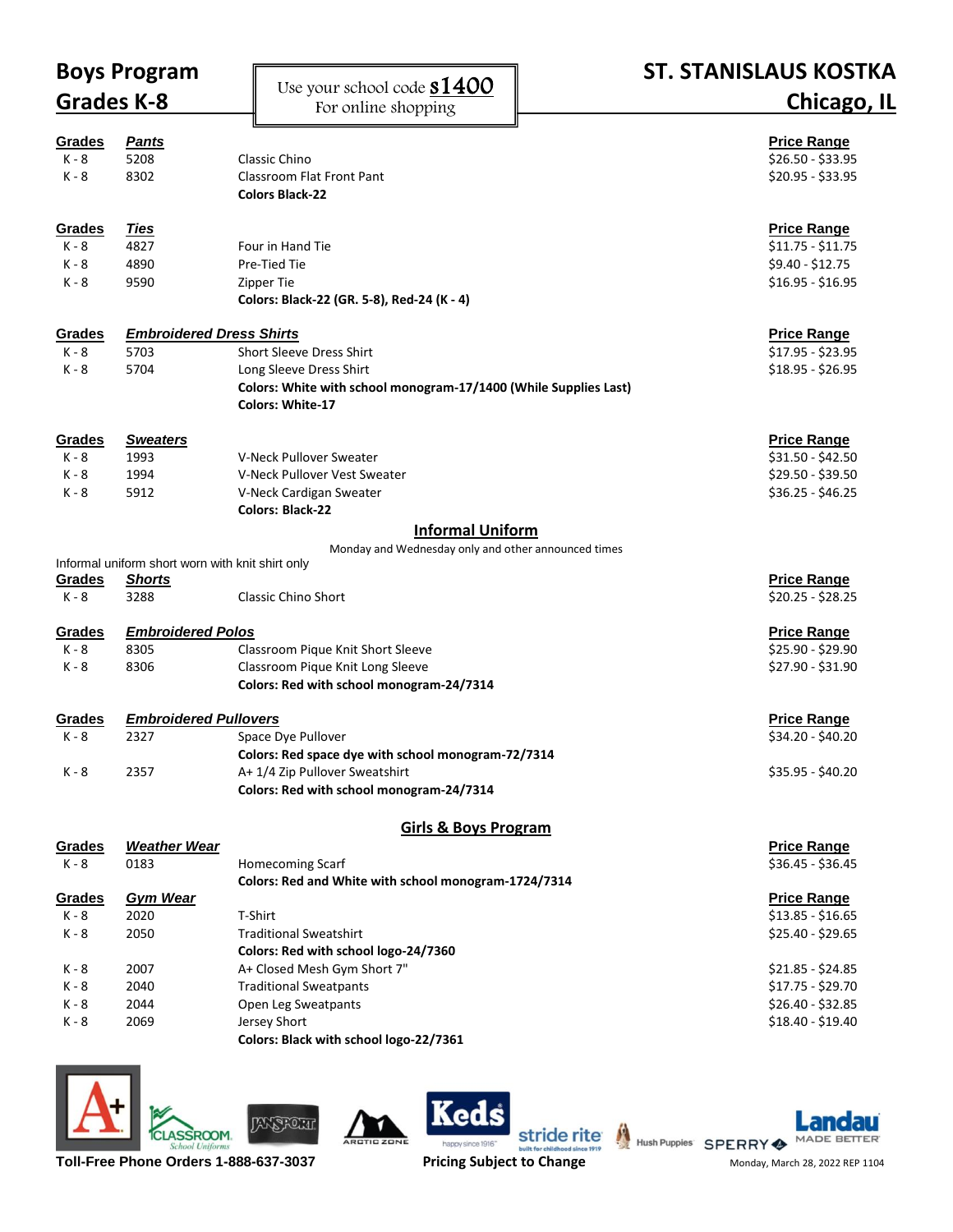| <b>Boys Program</b> |                                                  |                                                                                             | <b>ST. STANISLAUS KOSTKA</b> |
|---------------------|--------------------------------------------------|---------------------------------------------------------------------------------------------|------------------------------|
| Grades K-8          |                                                  | Use your school code <b>S1400</b>                                                           |                              |
|                     |                                                  | For online shopping                                                                         | <b>Chicago, IL</b>           |
|                     |                                                  |                                                                                             |                              |
| <b>Grades</b>       | <b>Pants</b>                                     |                                                                                             | <b>Price Range</b>           |
| $K - 8$             | 5208                                             | Classic Chino                                                                               | \$26.50 - \$33.95            |
| $K - 8$             | 8302                                             | Classroom Flat Front Pant                                                                   | $$20.95 - $33.95$            |
|                     |                                                  | <b>Colors Black-22</b>                                                                      |                              |
| <b>Grades</b>       | <u>Ties</u>                                      |                                                                                             | <b>Price Range</b>           |
| $K - 8$             | 4827                                             | Four in Hand Tie                                                                            | $$11.75 - $11.75$            |
| $K - 8$             | 4890                                             | Pre-Tied Tie                                                                                | \$9.40 - \$12.75             |
| K - 8               | 9590                                             | Zipper Tie                                                                                  | $$16.95 - $16.95$            |
|                     |                                                  | Colors: Black-22 (GR. 5-8), Red-24 (K - 4)                                                  |                              |
|                     |                                                  |                                                                                             |                              |
| Grades              | <b>Embroidered Dress Shirts</b>                  |                                                                                             | <b>Price Range</b>           |
| $K - 8$             | 5703                                             | <b>Short Sleeve Dress Shirt</b>                                                             | \$17.95 - \$23.95            |
| $K - 8$             | 5704                                             | Long Sleeve Dress Shirt                                                                     | $$18.95 - $26.95$            |
|                     |                                                  | Colors: White with school monogram-17/1400 (While Supplies Last)<br><b>Colors: White-17</b> |                              |
|                     |                                                  |                                                                                             |                              |
| Grades              | <b>Sweaters</b>                                  |                                                                                             | <b>Price Range</b>           |
| $K - 8$             | 1993                                             | V-Neck Pullover Sweater                                                                     | $$31.50 - $42.50$            |
| $K - 8$             | 1994                                             | V-Neck Pullover Vest Sweater                                                                | $$29.50 - $39.50$            |
| K - 8               | 5912                                             | V-Neck Cardigan Sweater                                                                     | $$36.25 - $46.25$            |
|                     |                                                  | <b>Colors: Black-22</b>                                                                     |                              |
|                     |                                                  | <b>Informal Uniform</b>                                                                     |                              |
|                     |                                                  | Monday and Wednesday only and other announced times                                         |                              |
|                     | Informal uniform short worn with knit shirt only |                                                                                             |                              |
| <b>Grades</b>       | <b>Shorts</b>                                    |                                                                                             | <b>Price Range</b>           |
| $K - 8$             | 3288                                             | <b>Classic Chino Short</b>                                                                  | $$20.25 - $28.25$            |
| Grades              | <b>Embroidered Polos</b>                         |                                                                                             | <b>Price Range</b>           |
| $K - 8$             | 8305                                             | Classroom Pique Knit Short Sleeve                                                           | \$25.90 - \$29.90            |
| K - 8               | 8306                                             | Classroom Pique Knit Long Sleeve                                                            | \$27.90 - \$31.90            |
|                     |                                                  | Colors: Red with school monogram-24/7314                                                    |                              |
|                     |                                                  |                                                                                             |                              |
| <u>Grades</u>       | <b>Embroidered Pullovers</b>                     |                                                                                             | <b>Price Range</b>           |
| $K - 8$             | 2327                                             | Space Dye Pullover                                                                          | \$34.20 - \$40.20            |
|                     |                                                  | Colors: Red space dye with school monogram-72/7314                                          |                              |
| K - 8               | 2357                                             | A+ 1/4 Zip Pullover Sweatshirt                                                              | \$35.95 - \$40.20            |
|                     |                                                  | Colors: Red with school monogram-24/7314                                                    |                              |
|                     |                                                  | <b>Girls &amp; Boys Program</b>                                                             |                              |
| <b>Grades</b>       | <b>Weather Wear</b>                              |                                                                                             | <b>Price Range</b>           |
| $K - 8$             | 0183                                             | Homecoming Scarf                                                                            | $$36.45 - $36.45$            |
|                     |                                                  | Colors: Red and White with school monogram-1724/7314                                        |                              |
| <b>Grades</b>       | <b>Gym Wear</b>                                  |                                                                                             | <b>Price Range</b>           |
| K - 8               | 2020                                             | T-Shirt                                                                                     | $$13.85 - $16.65$            |
| K - 8               | 2050                                             | <b>Traditional Sweatshirt</b>                                                               | $$25.40 - $29.65$            |
|                     |                                                  | Colors: Red with school logo-24/7360                                                        |                              |
| K - 8               | 2007                                             | A+ Closed Mesh Gym Short 7"                                                                 | $$21.85 - $24.85$            |
| $K - 8$             | 2040                                             | <b>Traditional Sweatpants</b>                                                               | \$17.75 - \$29.70            |
| K - 8               | 2044                                             | Open Leg Sweatpants                                                                         | $$26.40 - $32.85$            |
| K - 8               | 2069                                             | Jersey Short                                                                                | \$18.40 - \$19.40            |
|                     |                                                  | Colors: Black with school logo-22/7361                                                      |                              |
|                     |                                                  |                                                                                             |                              |







Ś

**Ked**